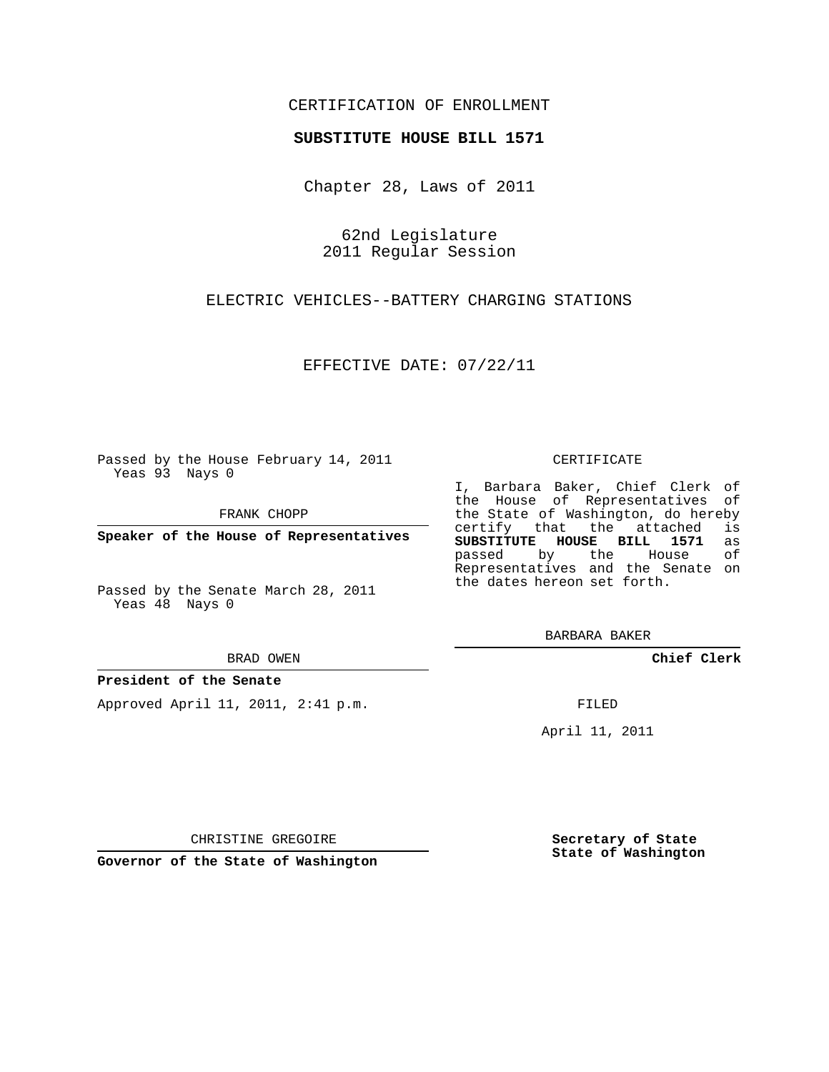### CERTIFICATION OF ENROLLMENT

### **SUBSTITUTE HOUSE BILL 1571**

Chapter 28, Laws of 2011

62nd Legislature 2011 Regular Session

ELECTRIC VEHICLES--BATTERY CHARGING STATIONS

EFFECTIVE DATE: 07/22/11

Passed by the House February 14, 2011 Yeas 93 Nays 0

FRANK CHOPP

**Speaker of the House of Representatives**

Passed by the Senate March 28, 2011 Yeas 48 Nays 0

#### BRAD OWEN

### **President of the Senate**

Approved April 11, 2011, 2:41 p.m.

#### CERTIFICATE

I, Barbara Baker, Chief Clerk of the House of Representatives of the State of Washington, do hereby<br>certify that the attached is certify that the attached is<br>SUBSTITUTE HOUSE BILL 1571 as **SUBSTITUTE HOUSE BILL 1571** as passed by the House Representatives and the Senate on the dates hereon set forth.

BARBARA BAKER

**Chief Clerk**

FILED

April 11, 2011

CHRISTINE GREGOIRE

**Governor of the State of Washington**

**Secretary of State State of Washington**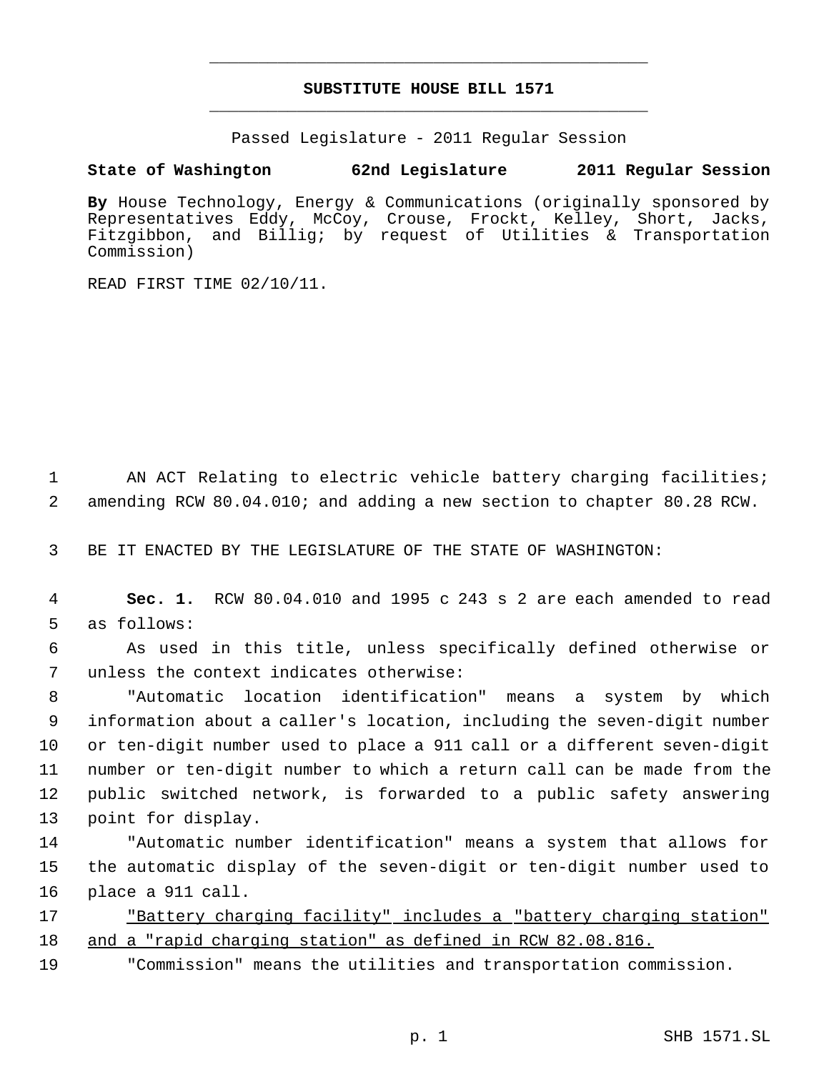# **SUBSTITUTE HOUSE BILL 1571** \_\_\_\_\_\_\_\_\_\_\_\_\_\_\_\_\_\_\_\_\_\_\_\_\_\_\_\_\_\_\_\_\_\_\_\_\_\_\_\_\_\_\_\_\_

\_\_\_\_\_\_\_\_\_\_\_\_\_\_\_\_\_\_\_\_\_\_\_\_\_\_\_\_\_\_\_\_\_\_\_\_\_\_\_\_\_\_\_\_\_

Passed Legislature - 2011 Regular Session

## **State of Washington 62nd Legislature 2011 Regular Session**

**By** House Technology, Energy & Communications (originally sponsored by Representatives Eddy, McCoy, Crouse, Frockt, Kelley, Short, Jacks, Fitzgibbon, and Billig; by request of Utilities & Transportation Commission)

READ FIRST TIME 02/10/11.

1 AN ACT Relating to electric vehicle battery charging facilities; 2 amending RCW 80.04.010; and adding a new section to chapter 80.28 RCW.

3 BE IT ENACTED BY THE LEGISLATURE OF THE STATE OF WASHINGTON:

 4 **Sec. 1.** RCW 80.04.010 and 1995 c 243 s 2 are each amended to read 5 as follows:

 6 As used in this title, unless specifically defined otherwise or 7 unless the context indicates otherwise:

 "Automatic location identification" means a system by which information about a caller's location, including the seven-digit number or ten-digit number used to place a 911 call or a different seven-digit number or ten-digit number to which a return call can be made from the public switched network, is forwarded to a public safety answering point for display.

14 "Automatic number identification" means a system that allows for 15 the automatic display of the seven-digit or ten-digit number used to 16 place a 911 call.

17 "Battery charging facility" includes a "battery charging station" 18 and a "rapid charging station" as defined in RCW 82.08.816.

19 "Commission" means the utilities and transportation commission.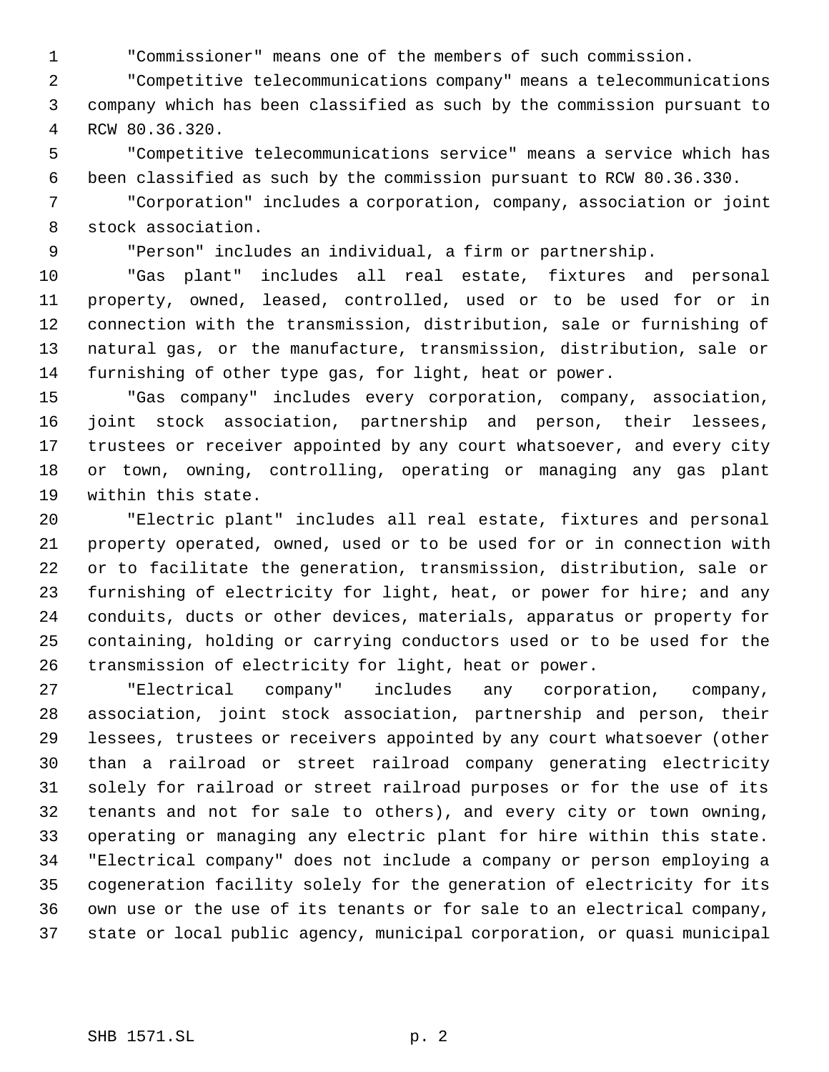"Commissioner" means one of the members of such commission.

 "Competitive telecommunications company" means a telecommunications company which has been classified as such by the commission pursuant to RCW 80.36.320.

 "Competitive telecommunications service" means a service which has been classified as such by the commission pursuant to RCW 80.36.330.

 "Corporation" includes a corporation, company, association or joint stock association.

"Person" includes an individual, a firm or partnership.

 "Gas plant" includes all real estate, fixtures and personal property, owned, leased, controlled, used or to be used for or in connection with the transmission, distribution, sale or furnishing of natural gas, or the manufacture, transmission, distribution, sale or furnishing of other type gas, for light, heat or power.

 "Gas company" includes every corporation, company, association, joint stock association, partnership and person, their lessees, trustees or receiver appointed by any court whatsoever, and every city or town, owning, controlling, operating or managing any gas plant within this state.

 "Electric plant" includes all real estate, fixtures and personal property operated, owned, used or to be used for or in connection with or to facilitate the generation, transmission, distribution, sale or furnishing of electricity for light, heat, or power for hire; and any conduits, ducts or other devices, materials, apparatus or property for containing, holding or carrying conductors used or to be used for the transmission of electricity for light, heat or power.

 "Electrical company" includes any corporation, company, association, joint stock association, partnership and person, their lessees, trustees or receivers appointed by any court whatsoever (other than a railroad or street railroad company generating electricity solely for railroad or street railroad purposes or for the use of its tenants and not for sale to others), and every city or town owning, operating or managing any electric plant for hire within this state. "Electrical company" does not include a company or person employing a cogeneration facility solely for the generation of electricity for its own use or the use of its tenants or for sale to an electrical company, state or local public agency, municipal corporation, or quasi municipal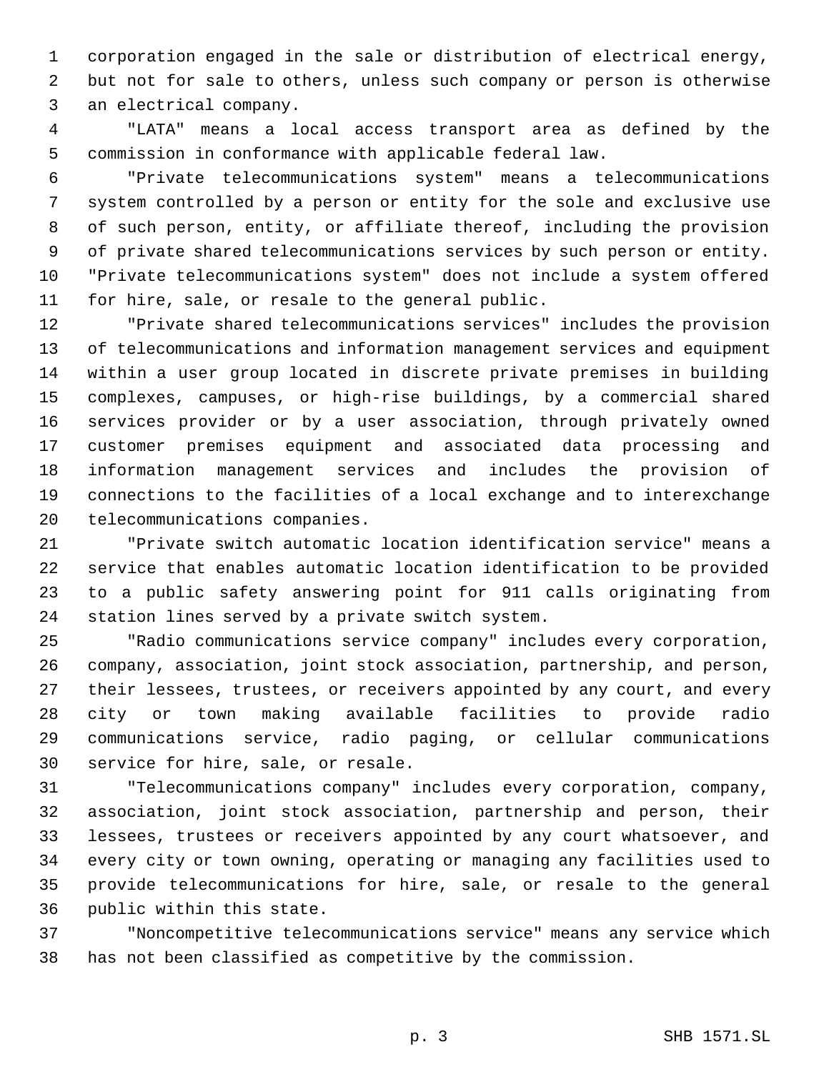corporation engaged in the sale or distribution of electrical energy, but not for sale to others, unless such company or person is otherwise an electrical company.

 "LATA" means a local access transport area as defined by the commission in conformance with applicable federal law.

 "Private telecommunications system" means a telecommunications system controlled by a person or entity for the sole and exclusive use of such person, entity, or affiliate thereof, including the provision of private shared telecommunications services by such person or entity. "Private telecommunications system" does not include a system offered for hire, sale, or resale to the general public.

 "Private shared telecommunications services" includes the provision of telecommunications and information management services and equipment within a user group located in discrete private premises in building complexes, campuses, or high-rise buildings, by a commercial shared services provider or by a user association, through privately owned customer premises equipment and associated data processing and information management services and includes the provision of connections to the facilities of a local exchange and to interexchange telecommunications companies.

 "Private switch automatic location identification service" means a service that enables automatic location identification to be provided to a public safety answering point for 911 calls originating from station lines served by a private switch system.

 "Radio communications service company" includes every corporation, company, association, joint stock association, partnership, and person, their lessees, trustees, or receivers appointed by any court, and every city or town making available facilities to provide radio communications service, radio paging, or cellular communications service for hire, sale, or resale.

 "Telecommunications company" includes every corporation, company, association, joint stock association, partnership and person, their lessees, trustees or receivers appointed by any court whatsoever, and every city or town owning, operating or managing any facilities used to provide telecommunications for hire, sale, or resale to the general public within this state.

 "Noncompetitive telecommunications service" means any service which has not been classified as competitive by the commission.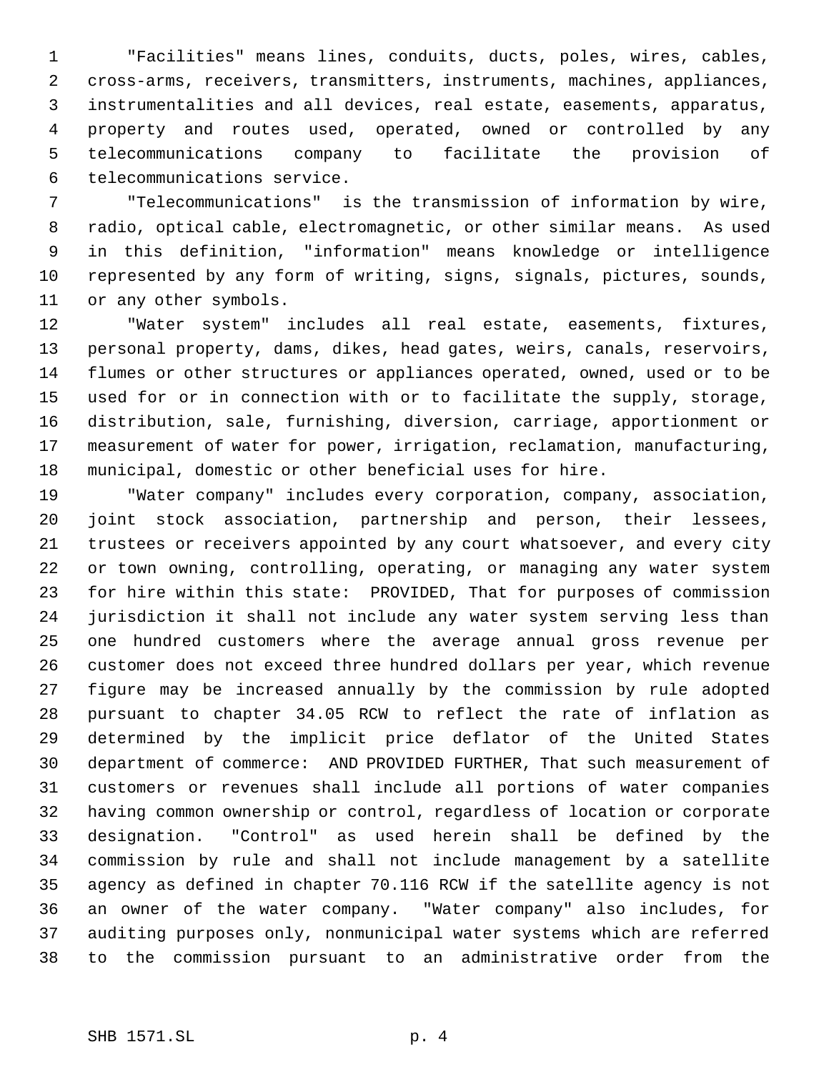"Facilities" means lines, conduits, ducts, poles, wires, cables, cross-arms, receivers, transmitters, instruments, machines, appliances, instrumentalities and all devices, real estate, easements, apparatus, property and routes used, operated, owned or controlled by any telecommunications company to facilitate the provision of telecommunications service.

 "Telecommunications" is the transmission of information by wire, radio, optical cable, electromagnetic, or other similar means. As used in this definition, "information" means knowledge or intelligence represented by any form of writing, signs, signals, pictures, sounds, or any other symbols.

 "Water system" includes all real estate, easements, fixtures, personal property, dams, dikes, head gates, weirs, canals, reservoirs, flumes or other structures or appliances operated, owned, used or to be used for or in connection with or to facilitate the supply, storage, distribution, sale, furnishing, diversion, carriage, apportionment or measurement of water for power, irrigation, reclamation, manufacturing, municipal, domestic or other beneficial uses for hire.

 "Water company" includes every corporation, company, association, joint stock association, partnership and person, their lessees, trustees or receivers appointed by any court whatsoever, and every city or town owning, controlling, operating, or managing any water system for hire within this state: PROVIDED, That for purposes of commission jurisdiction it shall not include any water system serving less than one hundred customers where the average annual gross revenue per customer does not exceed three hundred dollars per year, which revenue figure may be increased annually by the commission by rule adopted pursuant to chapter 34.05 RCW to reflect the rate of inflation as determined by the implicit price deflator of the United States department of commerce: AND PROVIDED FURTHER, That such measurement of customers or revenues shall include all portions of water companies having common ownership or control, regardless of location or corporate designation. "Control" as used herein shall be defined by the commission by rule and shall not include management by a satellite agency as defined in chapter 70.116 RCW if the satellite agency is not an owner of the water company. "Water company" also includes, for auditing purposes only, nonmunicipal water systems which are referred to the commission pursuant to an administrative order from the